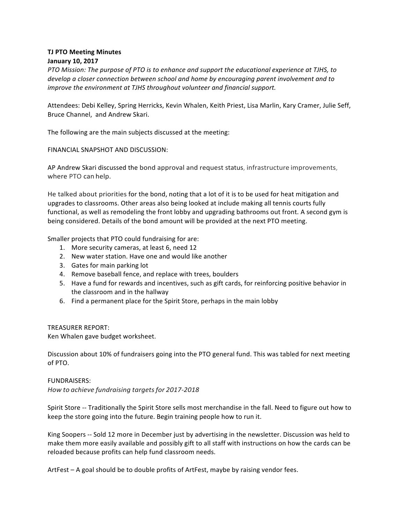## **TJ PTO Meeting Minutes January 10, 2017**

*PTO Mission: The purpose of PTO is to enhance and support the educational experience at TJHS, to* develop a closer connection between school and home by encouraging parent involvement and to *improve the environment at TJHS throughout volunteer and financial support.* 

Attendees: Debi Kelley, Spring Herricks, Kevin Whalen, Keith Priest, Lisa Marlin, Kary Cramer, Julie Seff, Bruce Channel, and Andrew Skari.

The following are the main subjects discussed at the meeting:

FINANCIAL SNAPSHOT AND DISCUSSION:

AP Andrew Skari discussed the bond approval and request status, infrastructure improvements, where PTO can help.

He talked about priorities for the bond, noting that a lot of it is to be used for heat mitigation and upgrades to classrooms. Other areas also being looked at include making all tennis courts fully functional, as well as remodeling the front lobby and upgrading bathrooms out front. A second gym is being considered. Details of the bond amount will be provided at the next PTO meeting.

Smaller projects that PTO could fundraising for are:

- 1. More security cameras, at least 6, need 12
- 2. New water station. Have one and would like another
- 3. Gates for main parking lot
- 4. Remove baseball fence, and replace with trees, boulders
- 5. Have a fund for rewards and incentives, such as gift cards, for reinforcing positive behavior in the classroom and in the hallway
- 6. Find a permanent place for the Spirit Store, perhaps in the main lobby

## TREASURER REPORT:

Ken Whalen gave budget worksheet.

Discussion about 10% of fundraisers going into the PTO general fund. This was tabled for next meeting of PTO.

## FUNDRAISERS:

*How to achieve fundraising targetsfor 2017-2018*

Spirit Store -- Traditionally the Spirit Store sells most merchandise in the fall. Need to figure out how to keep the store going into the future. Begin training people how to run it.

King Soopers -- Sold 12 more in December just by advertising in the newsletter. Discussion was held to make them more easily available and possibly gift to all staff with instructions on how the cards can be reloaded because profits can help fund classroom needs.

ArtFest  $-$  A goal should be to double profits of ArtFest, maybe by raising vendor fees.